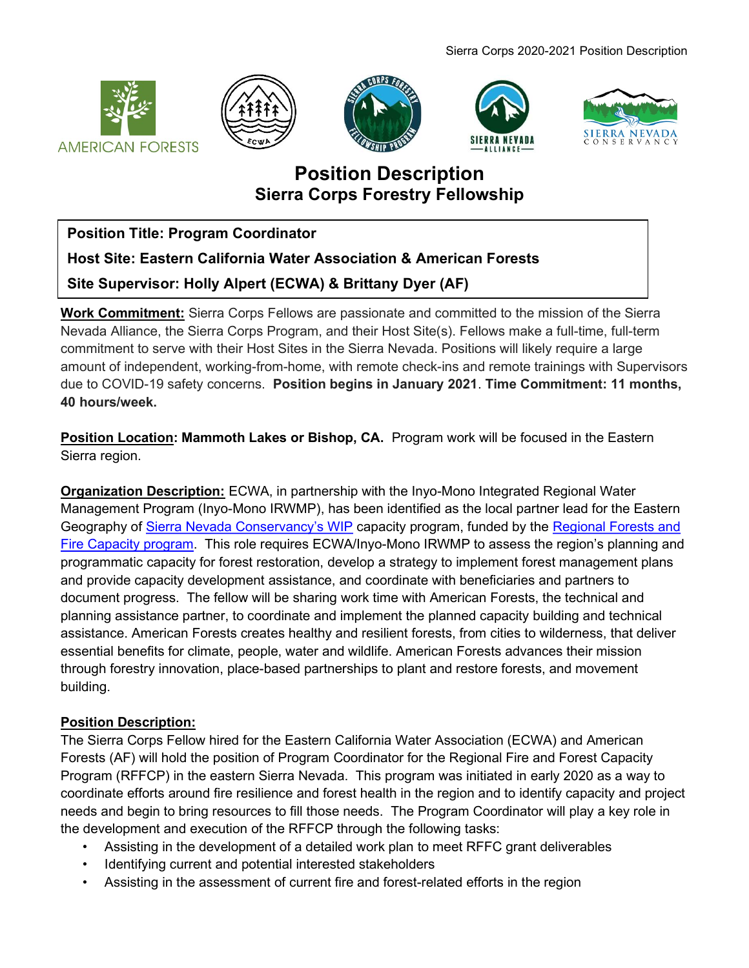









# Position Description Sierra Corps Forestry Fellowship

Position Title: Program Coordinator

Host Site: Eastern California Water Association & American Forests

Site Supervisor: Holly Alpert (ECWA) & Brittany Dyer (AF)

Work Commitment: Sierra Corps Fellows are passionate and committed to the mission of the Sierra Nevada Alliance, the Sierra Corps Program, and their Host Site(s). Fellows make a full-time, full-term commitment to serve with their Host Sites in the Sierra Nevada. Positions will likely require a large amount of independent, working-from-home, with remote check-ins and remote trainings with Supervisors due to COVID-19 safety concerns. Position begins in January 2021. Time Commitment: 11 months, 40 hours/week.

Position Location: Mammoth Lakes or Bishop, CA. Program work will be focused in the Eastern Sierra region.

Organization Description: ECWA, in partnership with the Inyo-Mono Integrated Regional Water Management Program (Inyo-Mono IRWMP), has been identified as the local partner lead for the Eastern Geography of Sierra Nevada Conservancy's WIP capacity program, funded by the Regional Forests and Fire Capacity program. This role requires ECWA/Inyo-Mono IRWMP to assess the region's planning and programmatic capacity for forest restoration, develop a strategy to implement forest management plans and provide capacity development assistance, and coordinate with beneficiaries and partners to document progress. The fellow will be sharing work time with American Forests, the technical and planning assistance partner, to coordinate and implement the planned capacity building and technical assistance. American Forests creates healthy and resilient forests, from cities to wilderness, that deliver essential benefits for climate, people, water and wildlife. American Forests advances their mission through forestry innovation, place-based partnerships to plant and restore forests, and movement building.

# Position Description:

The Sierra Corps Fellow hired for the Eastern California Water Association (ECWA) and American Forests (AF) will hold the position of Program Coordinator for the Regional Fire and Forest Capacity Program (RFFCP) in the eastern Sierra Nevada. This program was initiated in early 2020 as a way to coordinate efforts around fire resilience and forest health in the region and to identify capacity and project needs and begin to bring resources to fill those needs. The Program Coordinator will play a key role in the development and execution of the RFFCP through the following tasks:

- Assisting in the development of a detailed work plan to meet RFFC grant deliverables
- Identifying current and potential interested stakeholders
- Assisting in the assessment of current fire and forest-related efforts in the region